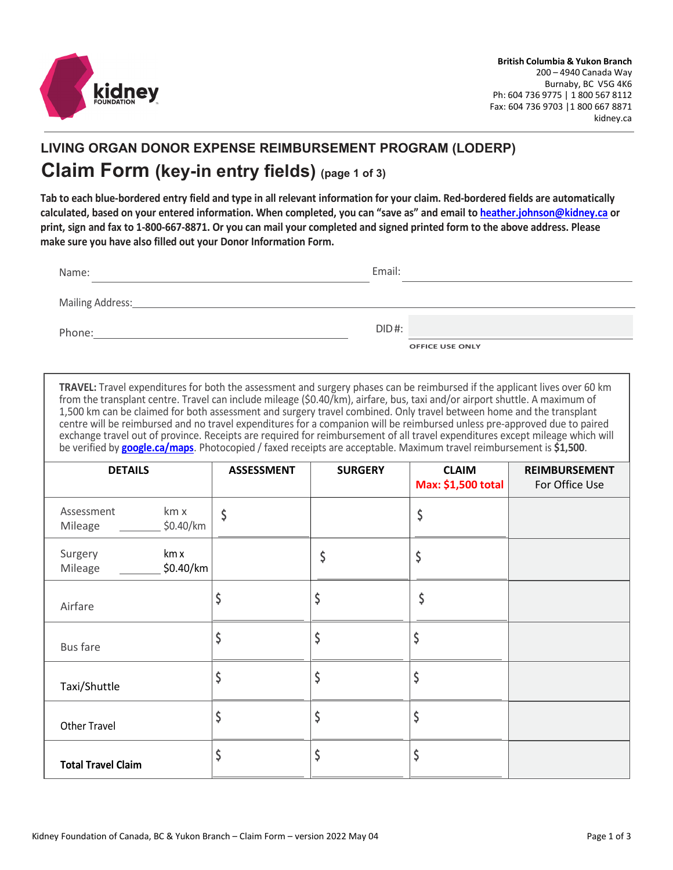

## **LIVING ORGAN DONOR EXPENSE REIMBURSEMENT PROGRAM (LODERP) Claim Form (key-in entry fields) (page 1 of 3)**

**Tab to each blue-bordered entry field and type in all relevant information for your claim. Red-bordered fields are automatically calculated, based on your entered information. When completed, you can "save as" and email to [heather.johnson@kidney.ca](mailto:heather.johnson@kidney.ca) or print, sign and fax to 1-800-667-8871. Or you can mail your completed and signed printed form to the above address. Please make sure you have also filled out your Donor Information Form.**

| Name:            | Email:                             |
|------------------|------------------------------------|
| Mailing Address: |                                    |
| Phone:           | $DID$ #:<br><b>OFFICE USE ONLY</b> |

**TRAVEL:** Travel expenditures for both the assessment and surgery phases can be reimbursed if the applicant lives over 60 km from the transplant centre. Travel can include mileage (\$0.40/km), airfare, bus, taxi and/or airport shuttle. A maximum of 1,500 km can be claimed for both assessment and surgery travel combined. Only travel between home and the transplant centre will be reimbursed and no travel expenditures for a companion will be reimbursed unless pre-approved due to paired exchange travel out of province. Receipts are required for reimbursement of all travel expenditures except mileage which will be verified by **[google.ca/maps](http://www.google.ca/maps)**. Photocopied / faxed receipts are acceptable. Maximum travel reimbursement is **\$1,500**.

| <b>DETAILS</b>                             | <b>ASSESSMENT</b> | <b>SURGERY</b> | <b>CLAIM</b><br>Max: \$1,500 total | <b>REIMBURSEMENT</b><br>For Office Use |
|--------------------------------------------|-------------------|----------------|------------------------------------|----------------------------------------|
| km x<br>Assessment<br>\$0.40/km<br>Mileage | \$                |                | \$                                 |                                        |
| km x<br>Surgery<br>$$0.40$ /km<br>Mileage  |                   |                | Ş                                  |                                        |
| Airfare                                    |                   |                | \$                                 |                                        |
| <b>Bus fare</b>                            |                   |                |                                    |                                        |
| Taxi/Shuttle                               |                   |                |                                    |                                        |
| <b>Other Travel</b>                        |                   |                |                                    |                                        |
| <b>Total Travel Claim</b>                  |                   |                |                                    |                                        |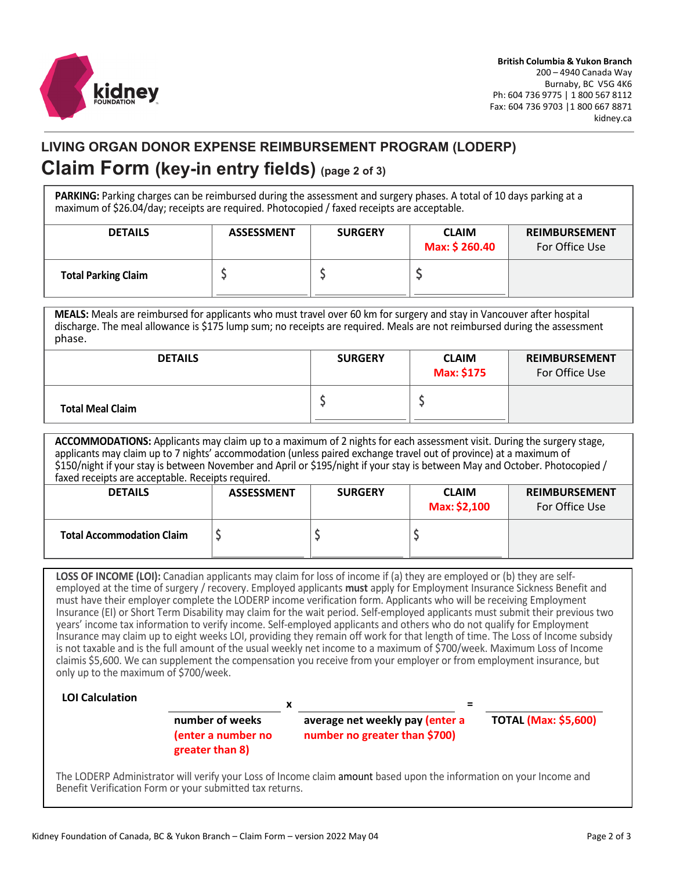

## **LIVING ORGAN DONOR EXPENSE REIMBURSEMENT PROGRAM (LODERP) Claim Form (key-in entry fields) (page 2 of 3)**

**PARKING:** Parking charges can be reimbursed during the assessment and surgery phases. A total of 10 days parking at a maximum of \$26.04/day; receipts are required. Photocopied / faxed receipts are acceptable.

| <b>DETAILS</b>             | <b>ASSESSMENT</b> | <b>SURGERY</b> | <b>CLAIM</b><br>Max: \$ 260.40 | <b>REIMBURSEMENT</b><br>For Office Use |
|----------------------------|-------------------|----------------|--------------------------------|----------------------------------------|
| <b>Total Parking Claim</b> |                   |                |                                |                                        |

**MEALS:** Meals are reimbursed for applicants who must travel over 60 km for surgery and stay in Vancouver after hospital discharge. The meal allowance is \$175 lump sum; no receipts are required. Meals are not reimbursed during the assessment phase.

| <b>DETAILS</b>          | <b>SURGERY</b> | <b>CLAIM</b><br>Max: \$175 | <b>REIMBURSEMENT</b><br>For Office Use |
|-------------------------|----------------|----------------------------|----------------------------------------|
| <b>Total Meal Claim</b> |                |                            |                                        |

**ACCOMMODATIONS:** Applicants may claim up to a maximum of 2 nights for each assessment visit. During the surgery stage, applicants may claim up to 7 nights' accommodation (unless paired exchange travel out of province) at a maximum of \$150/night if your stay is between November and April or \$195/night if your stay is between May and October. Photocopied / faxed receipts are acceptable. Receipts required.

| <b>DETAILS</b>                   | <b>ASSESSMENT</b> | <b>SURGERY</b> | <b>CLAIM</b><br>Max: \$2,100 | <b>REIMBURSEMENT</b><br>For Office Use |
|----------------------------------|-------------------|----------------|------------------------------|----------------------------------------|
| <b>Total Accommodation Claim</b> |                   |                |                              |                                        |

**LOSS OF INCOME (LOI):** Canadian applicants may claim for loss of income if (a) they are employed or (b) they are selfemployed at the time of surgery / recovery. Employed applicants **must** apply for Employment Insurance Sickness Benefit and must have their employer complete the LODERP income verification form. Applicants who will be receiving Employment Insurance (EI) or Short Term Disability may claim for the wait period. Self-employed applicants must submit their previous two years' income tax information to verify income. Self-employed applicants and others who do not qualify for Employment Insurance may claim up to eight weeks LOI, providing they remain off work for that length of time. The Loss of Income subsidy is not taxable and is the full amount of the usual weekly net income to a maximum of \$700/week. Maximum Loss of Income claimis \$5,600. We can supplement the compensation you receive from your employer or from employment insurance, but only up to the maximum of \$700/week.

## **LOI Calculation**

**number of weeks (enter a number no greater than 8)**

**average net weekly pay (enter a number no greater than \$700)**

**x =**

**TOTAL (Max: \$5,600)**

The LODERP Administrator will verify your Loss of Income claim amount based upon the information on your Income and Benefit Verification Form or your submitted tax returns.